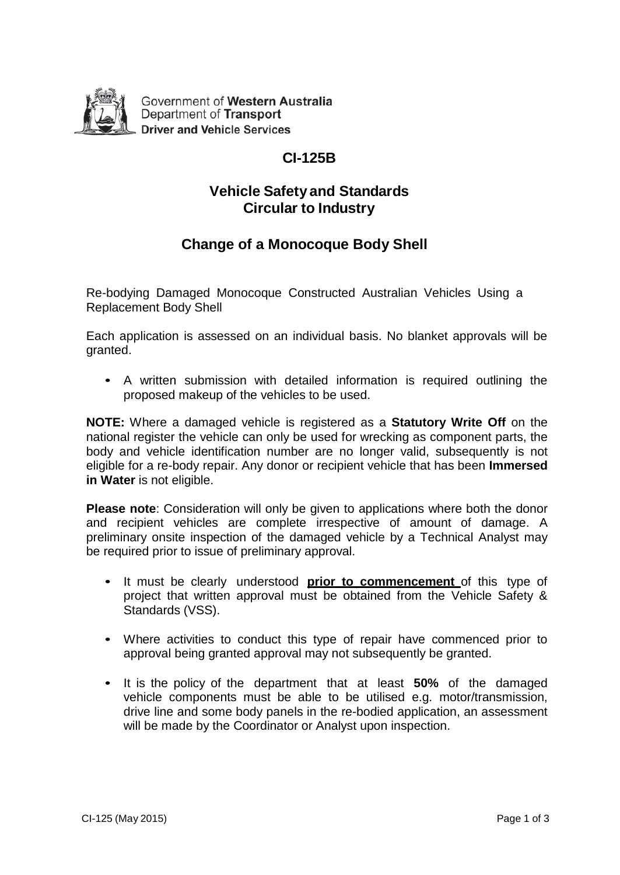

Government of Western Australia Department of Transport **Driver and Vehicle Services** 

# **CI-125B**

### **Vehicle Safety and Standards Circular to Industry**

## **Change of a Monocoque Body Shell**

Re-bodying Damaged Monocoque Constructed Australian Vehicles Using a Replacement Body Shell

Each application is assessed on an individual basis. No blanket approvals will be granted.

• A written submission with detailed information is required outlining the proposed makeup of the vehicles to be used.

**NOTE:** Where a damaged vehicle is registered as a **Statutory Write Off** on the national register the vehicle can only be used for wrecking as component parts, the body and vehicle identification number are no longer valid, subsequently is not eligible for a re-body repair. Any donor or recipient vehicle that has been **Immersed in Water** is not eligible.

**Please note**: Consideration will only be given to applications where both the donor and recipient vehicles are complete irrespective of amount of damage. A preliminary onsite inspection of the damaged vehicle by a Technical Analyst may be required prior to issue of preliminary approval.

- It must be clearly understood **prior to commencement** of this type of project that written approval must be obtained from the Vehicle Safety & Standards (VSS).
- Where activities to conduct this type of repair have commenced prior to approval being granted approval may not subsequently be granted.
- It is the policy of the department that at least **50%** of the damaged vehicle components must be able to be utilised e.g. motor/transmission, drive line and some body panels in the re-bodied application, an assessment will be made by the Coordinator or Analyst upon inspection.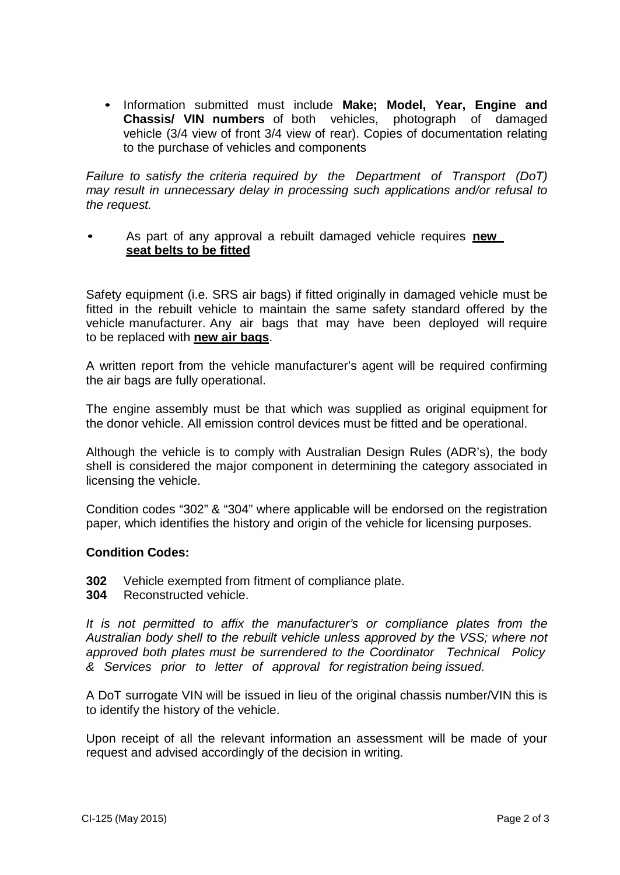• Information submitted must include **Make; Model, Year, Engine and Chassis/ VIN numbers** of both vehicles, photograph of damaged vehicle (3/4 view of front 3/4 view of rear). Copies of documentation relating to the purchase of vehicles and components

*Failure to satisfy the criteria required by the Department of Transport (DoT) may result in unnecessary delay in processing such applications and/or refusal to the request.*

• As part of any approval a rebuilt damaged vehicle requires **new seat belts to be fitted**

Safety equipment (i.e. SRS air bags) if fitted originally in damaged vehicle must be fitted in the rebuilt vehicle to maintain the same safety standard offered by the vehicle manufacturer. Any air bags that may have been deployed will require to be replaced with **new air bags**.

A written report from the vehicle manufacturer's agent will be required confirming the air bags are fully operational.

The engine assembly must be that which was supplied as original equipment for the donor vehicle. All emission control devices must be fitted and be operational.

Although the vehicle is to comply with Australian Design Rules (ADR's), the body shell is considered the major component in determining the category associated in licensing the vehicle.

Condition codes "302" & "304" where applicable will be endorsed on the registration paper, which identifies the history and origin of the vehicle for licensing purposes.

#### **Condition Codes:**

- **302** Vehicle exempted from fitment of compliance plate.
- **304** Reconstructed vehicle.

*It is not permitted to affix the manufacturer's or compliance plates from the Australian body shell to the rebuilt vehicle unless approved by the VSS; where not approved both plates must be surrendered to the Coordinator Technical Policy & Services prior to letter of approval for registration being issued.*

A DoT surrogate VIN will be issued in lieu of the original chassis number/VIN this is to identify the history of the vehicle.

Upon receipt of all the relevant information an assessment will be made of your request and advised accordingly of the decision in writing.